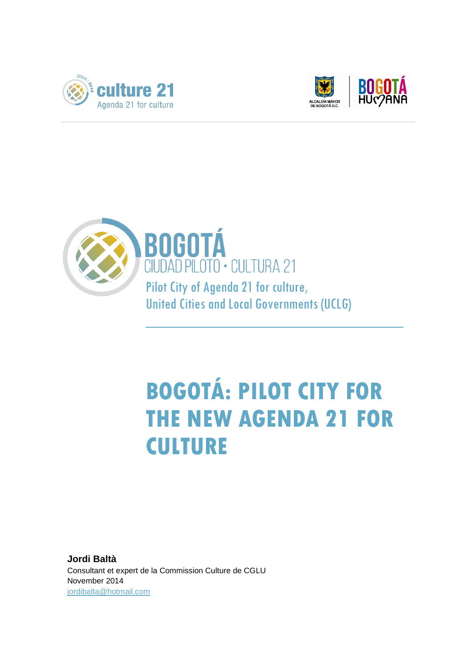





## **BOGOTÁ: PILOT CITY FOR THE NEW AGENDA 21 FOR CULTURE**

**Jordi Baltà** Consultant et expert de la Commission Culture de CGLU November 2014 [jordibalta@hotmail.com](mailto:jordibalta@hotmail.com)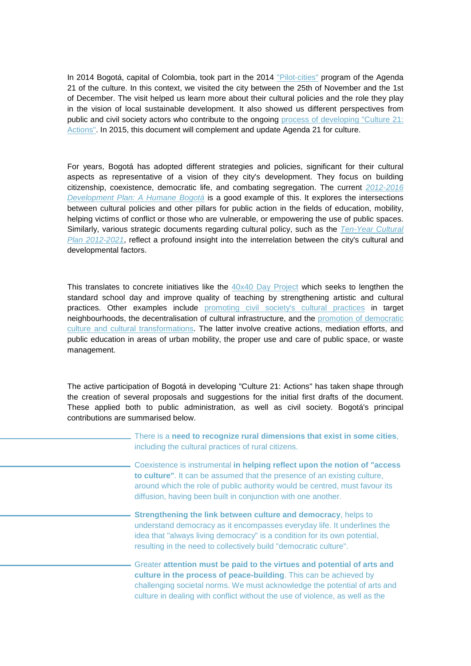In 2014 Bogotá, capital of Colombia, took part in the 2014 ["Pilot-cities"](http://www.agenda21culture.net/index.php/es/nueva-a21c/ciudades-piloto) program of the Agenda 21 of the culture. In this context, we visited the city between the 25th of November and the 1st of December. The visit helped us learn more about their cultural policies and the role they play in the vision of local sustainable development. It also showed us different perspectives from public and civil society actors who contribute to the ongoing [process of developing "Culture 21:](http://www.agenda21culture.net/index.php/es/nueva-a21c/nueva-a21c)  [Actions".](http://www.agenda21culture.net/index.php/es/nueva-a21c/nueva-a21c) In 2015, this document will complement and update Agenda 21 for culture.

For years, Bogotá has adopted different strategies and policies, significant for their cultural aspects as representative of a vision of they city's development. They focus on building citizenship, coexistence, democratic life, and combating segregation. The current *[2012-2016](http://www.sdp.gov.co/portal/page/portal/PortalSDP/Home/Noticias/OtrosDocumentosArchivados/PlandeDesarrollo)  [Development Plan: A Humane Bogotá](http://www.sdp.gov.co/portal/page/portal/PortalSDP/Home/Noticias/OtrosDocumentosArchivados/PlandeDesarrollo)* is a good example of this. It explores the intersections between cultural policies and other pillars for public action in the fields of education, mobility, helping victims of conflict or those who are vulnerable, or empowering the use of public spaces. Similarly, various strategic documents regarding cultural policy, such as the *[Ten-Year Cultural](http://www.culturarecreacionydeporte.gov.co/sis/biblioteca-digital/plan-decenal-de-cultura-bogota-dc-2012-2021)  [Plan 2012-2021](http://www.culturarecreacionydeporte.gov.co/sis/biblioteca-digital/plan-decenal-de-cultura-bogota-dc-2012-2021)*, reflect a profound insight into the interrelation between the city's cultural and developmental factors.

This translates to concrete initiatives like the [40x40 Day Project](http://www.culturarecreacionydeporte.gov.co/programas/proyecto-jornada-40x40-para-la-excelencia-academica-y-la-formacion-integral) which seeks to lengthen the standard school day and improve quality of teaching by strengthening artistic and cultural practices. Other examples include [promoting civil society's cultural practices](http://www.agenda21culture.net/images/a21c/bones_practiques/pdf/BOGOTA_ESP.pdf) in target neighbourhoods, the decentralisation of cultural infrastructure, and the [promotion of democratic](http://www.culturarecreacionydeporte.gov.co/cultura-democratica)  [culture and cultural transformations.](http://www.culturarecreacionydeporte.gov.co/cultura-democratica) The latter involve creative actions, mediation efforts, and public education in areas of urban mobility, the proper use and care of public space, or waste management.

The active participation of Bogotá in developing "Culture 21: Actions" has taken shape through the creation of several proposals and suggestions for the initial first drafts of the document. These applied both to public administration, as well as civil society. Bogotá's principal contributions are summarised below.

> There is a **need to recognize rural dimensions that exist in some cities**, including the cultural practices of rural citizens.

> Coexistence is instrumental **in helping reflect upon the notion of "access to culture"**. It can be assumed that the presence of an existing culture, around which the role of public authority would be centred, must favour its diffusion, having been built in conjunction with one another.

**Strengthening the link between culture and democracy**, helps to understand democracy as it encompasses everyday life. It underlines the idea that "always living democracy" is a condition for its own potential, resulting in the need to collectively build "democratic culture".

Greater **attention must be paid to the virtues and potential of arts and culture in the process of peace-building**. This can be achieved by challenging societal norms. We must acknowledge the potential of arts and culture in dealing with conflict without the use of violence, as well as the